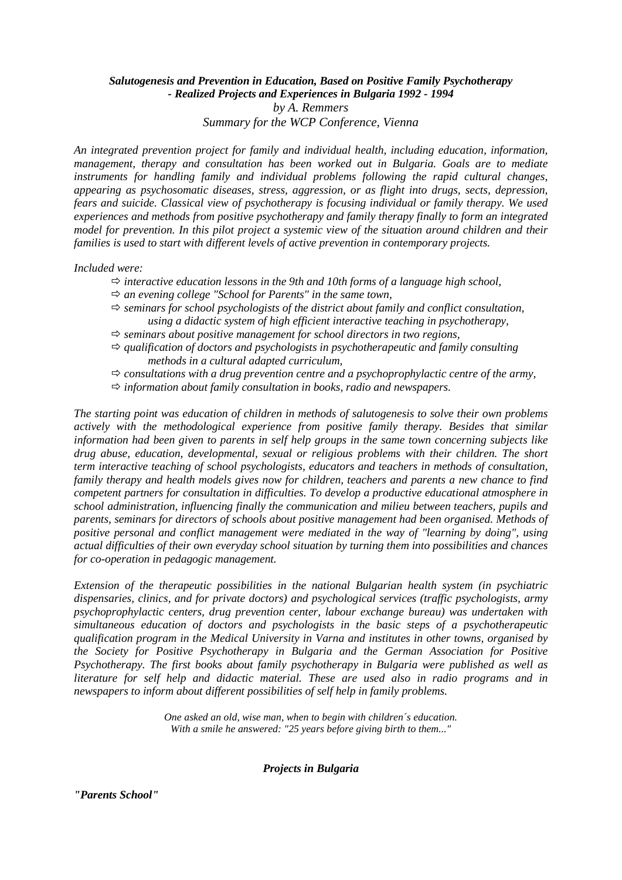## *Salutogenesis and Prevention in Education, Based on Positive Family Psychotherapy - Realized Projects and Experiences in Bulgaria 1992 - 1994 by A. Remmers Summary for the WCP Conference, Vienna*

*An integrated prevention project for family and individual health, including education, information, management, therapy and consultation has been worked out in Bulgaria. Goals are to mediate instruments for handling family and individual problems following the rapid cultural changes, appearing as psychosomatic diseases, stress, aggression, or as flight into drugs, sects, depression, fears and suicide. Classical view of psychotherapy is focusing individual or family therapy. We used experiences and methods from positive psychotherapy and family therapy finally to form an integrated model for prevention. In this pilot project a systemic view of the situation around children and their families is used to start with different levels of active prevention in contemporary projects.* 

*Included were:* 

- $\Rightarrow$  interactive education lessons in the 9th and 10th forms of a language high school,
- *an evening college "School for Parents" in the same town,*
- $\Rightarrow$  seminars for school psychologists of the district about family and conflict consultation, *using a didactic system of high efficient interactive teaching in psychotherapy,*
- $\Rightarrow$  seminars about positive management for school directors in two regions,
- $\Rightarrow$  qualification of doctors and psychologists in psychotherapeutic and family consulting *methods in a cultural adapted curriculum,*
- $\Rightarrow$  consultations with a drug prevention centre and a psychoprophylactic centre of the army,
- $\Rightarrow$  *information about family consultation in books, radio and newspapers.*

*The starting point was education of children in methods of salutogenesis to solve their own problems actively with the methodological experience from positive family therapy. Besides that similar information had been given to parents in self help groups in the same town concerning subjects like drug abuse, education, developmental, sexual or religious problems with their children. The short term interactive teaching of school psychologists, educators and teachers in methods of consultation, family therapy and health models gives now for children, teachers and parents a new chance to find competent partners for consultation in difficulties. To develop a productive educational atmosphere in school administration, influencing finally the communication and milieu between teachers, pupils and parents, seminars for directors of schools about positive management had been organised. Methods of positive personal and conflict management were mediated in the way of "learning by doing", using actual difficulties of their own everyday school situation by turning them into possibilities and chances for co-operation in pedagogic management.* 

*Extension of the therapeutic possibilities in the national Bulgarian health system (in psychiatric dispensaries, clinics, and for private doctors) and psychological services (traffic psychologists, army psychoprophylactic centers, drug prevention center, labour exchange bureau) was undertaken with simultaneous education of doctors and psychologists in the basic steps of a psychotherapeutic qualification program in the Medical University in Varna and institutes in other towns, organised by the Society for Positive Psychotherapy in Bulgaria and the German Association for Positive Psychotherapy. The first books about family psychotherapy in Bulgaria were published as well as literature for self help and didactic material. These are used also in radio programs and in newspapers to inform about different possibilities of self help in family problems.*

> *One asked an old, wise man, when to begin with children´s education. With a smile he answered: "25 years before giving birth to them..."*

> > *Projects in Bulgaria*

*"Parents School"*